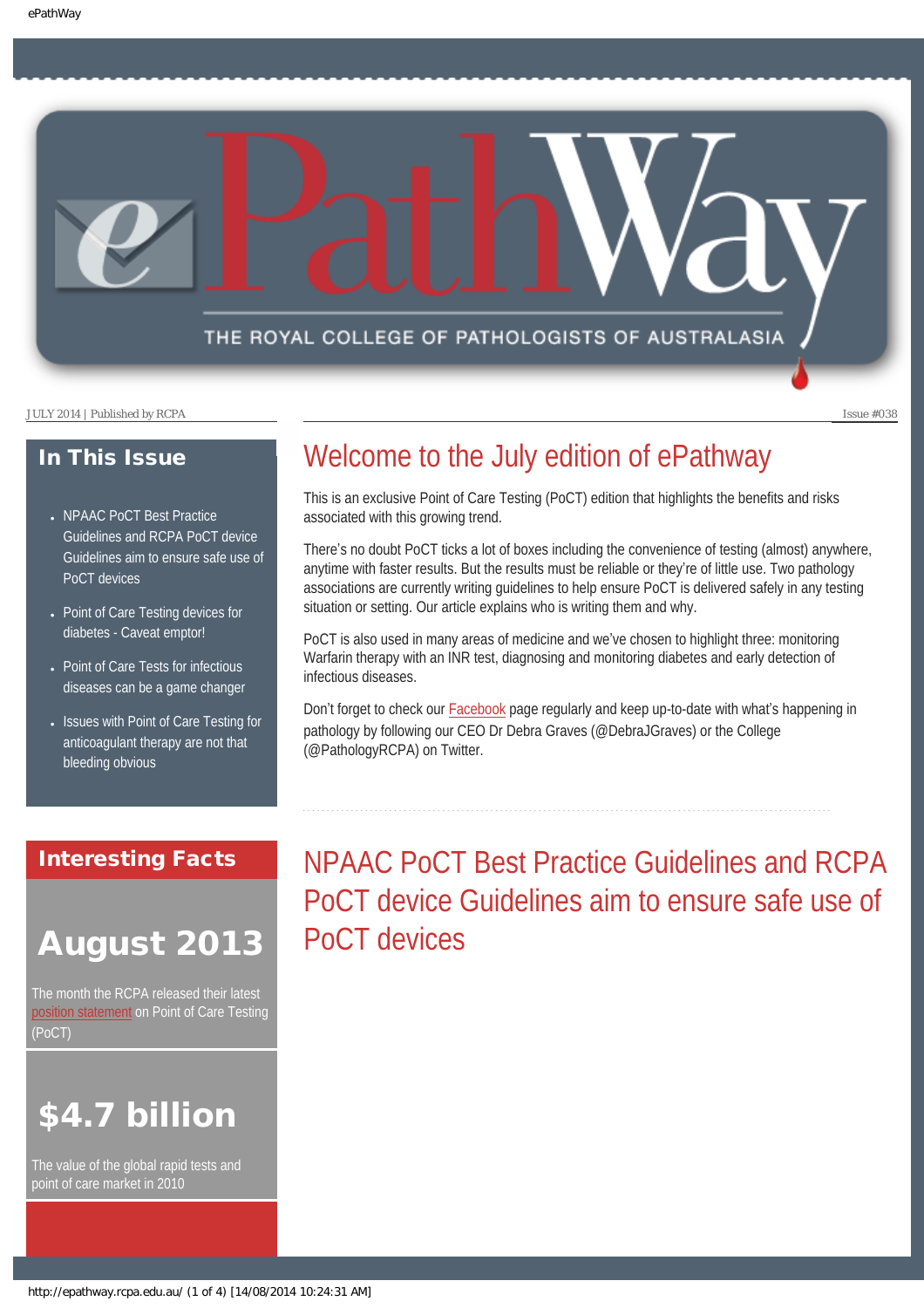THE ROYAL COLLEGE OF PATHOLOGISTS OF AUSTRALASIA

JULY 2014 | Published by RCPA Issue #038

### In This Issue

- NPAAC PoCT Best Practice [Guidelines and RCPA PoCT device](#page-0-0)  [Guidelines aim to ensure safe use of](#page-0-0)  [PoCT devices](#page-0-0)
- [Point of Care Testing devices for](#page-1-0) [diabetes - Caveat emptor!](#page-1-0)
- [Point of Care Tests for infectious](#page-2-0) [diseases can be a game changer](#page-2-0)
- [Issues with Point of Care Testing for](#page-2-1) [anticoagulant therapy are not that](#page-2-1) [bleeding obvious](#page-2-1)

### <span id="page-0-0"></span>Interesting Facts

## August 2013

The month the RCPA released their latest [position statement](http://www.rcpa.edu.au/Library/College-Policies/Position-Statements/Point-of-Care-Testing) on Point of Care Testing (PoCT)

# \$4.7 billion

The value of the global rapid tests and point of care market in 2010

### Welcome to the July edition of ePathway

This is an exclusive Point of Care Testing (PoCT) edition that highlights the benefits and risks associated with this growing trend.

There's no doubt PoCT ticks a lot of boxes including the convenience of testing (almost) anywhere, anytime with faster results. But the results must be reliable or they're of little use. Two pathology associations are currently writing guidelines to help ensure PoCT is delivered safely in any testing situation or setting. Our article explains who is writing them and why.

PoCT is also used in many areas of medicine and we've chosen to highlight three: monitoring Warfarin therapy with an INR test, diagnosing and monitoring diabetes and early detection of infectious diseases.

Don't forget to check our [Facebook](https://www.facebook.com/TheRoyalCollegeOfPathologistsOfAustralasia) page regularly and keep up-to-date with what's happening in pathology by following our CEO Dr Debra Graves (@DebraJGraves) or the College (@PathologyRCPA) on Twitter.

NPAAC PoCT Best Practice Guidelines and RCPA PoCT device Guidelines aim to ensure safe use of PoCT devices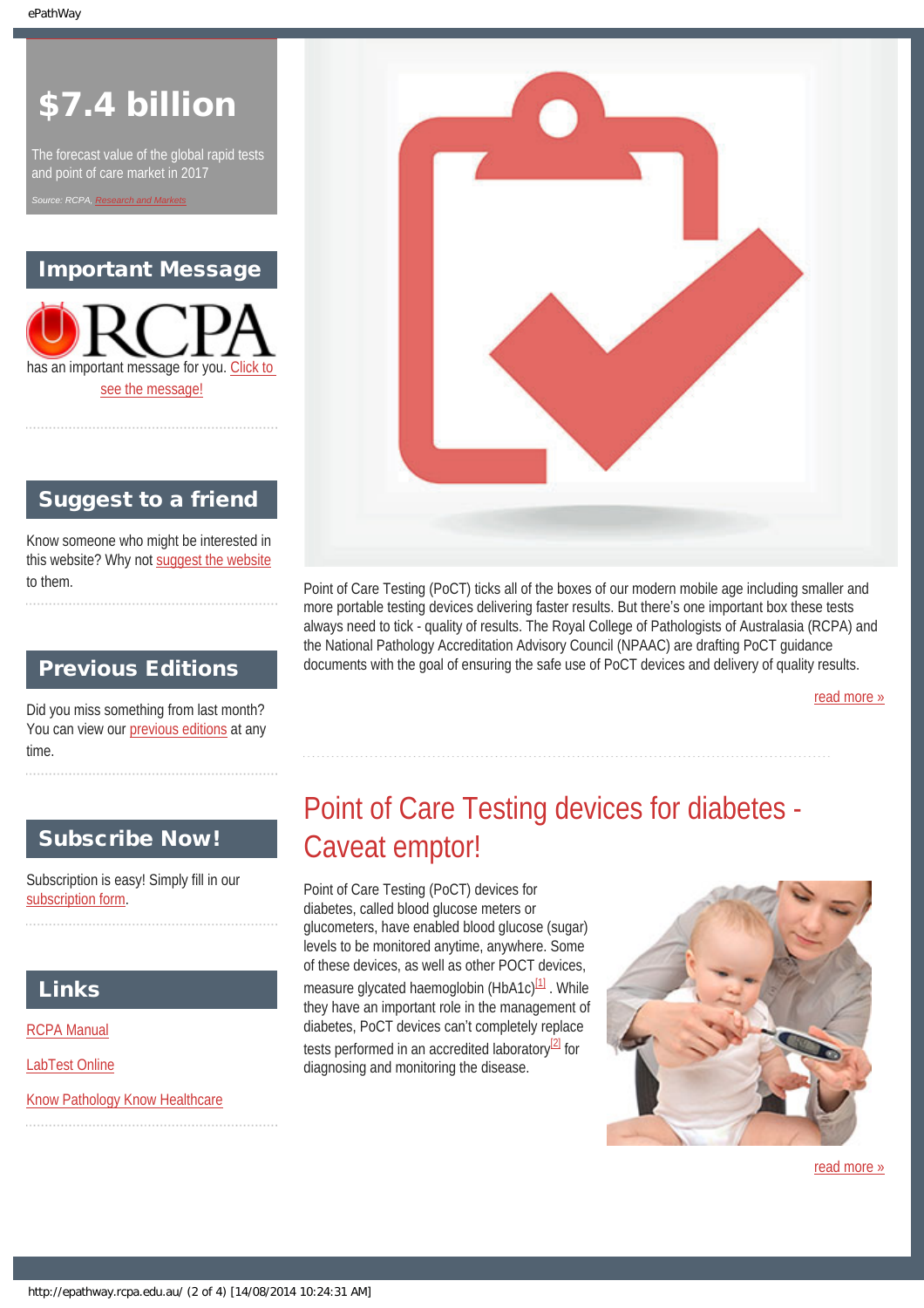# \$7.4 billion

The forecast value of the global rapid tests and point of care market in 2017

*Source: RCPA, [Research and Markets](http://www.researchandmarkets.com/reports/2063652/rapid_tests_and_point_of_care_market_to_2017#pos-0)*

### Important Message





### Suggest to a friend

Know someone who might be interested in this website? Why not [suggest the website](mailto:?Subject=I%20think%20you%20should%20read%20this%20Newsletter=
http://epathway.rcpa.edu.au/index.html) to them.

### Previous Editions

Did you miss something from last month? You can view our [previous editions](#page-4-0) at any time.

### <span id="page-1-0"></span>Subscribe Now!

Subscription is easy! Simply fill in our [subscription form.](http://epathway.rcpa.edu.au/subscription.html)

### Links

[RCPA Manual](http://rcpamanual.edu.au/)

[LabTest Online](http://www.labtestsonline.org.au/)

[Know Pathology Know Healthcare](http://knowpathology.com.au/)

Point of Care Testing (PoCT) ticks all of the boxes of our modern mobile age including smaller and more portable testing devices delivering faster results. But there's one important box these tests always need to tick - quality of results. The Royal College of Pathologists of Australasia (RCPA) and the National Pathology Accreditation Advisory Council (NPAAC) are drafting PoCT guidance documents with the goal of ensuring the safe use of PoCT devices and delivery of quality results.

[read more »](#page-6-0)

# Point of Care Testing devices for diabetes - Caveat emptor!

Point of Care Testing (PoCT) devices for diabetes, called blood glucose meters or glucometers, have enabled blood glucose (sugar) levels to be monitored anytime, anywhere. Some of these devices, as well as other POCT devices, measure glycated haemoglobin (HbA1c)<sup>[\[1\]](#page-9-0)</sup>. While they have an important role in the management of diabetes, PoCT devices can't completely replace tests performed in an accredited laboratory $[2]$  for diagnosing and monitoring the disease.



[read more »](#page-8-0)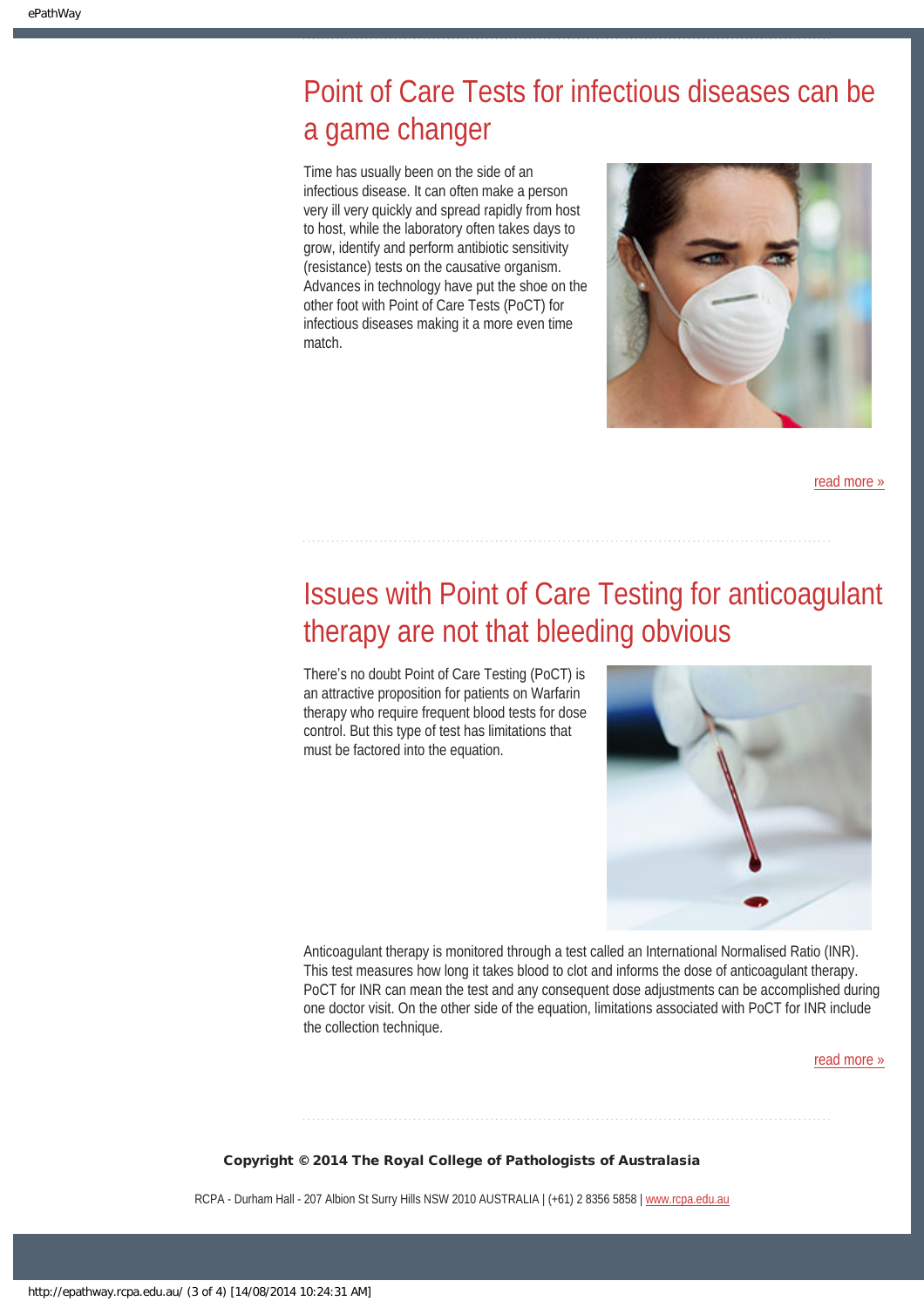# <span id="page-2-0"></span>Point of Care Tests for infectious diseases can be a game changer

Time has usually been on the side of an infectious disease. It can often make a person very ill very quickly and spread rapidly from host to host, while the laboratory often takes days to grow, identify and perform antibiotic sensitivity (resistance) tests on the causative organism. Advances in technology have put the shoe on the other foot with Point of Care Tests (PoCT) for infectious diseases making it a more even time match.



[read more »](#page-10-0)

## <span id="page-2-1"></span>Issues with Point of Care Testing for anticoagulant therapy are not that bleeding obvious

There's no doubt Point of Care Testing (PoCT) is an attractive proposition for patients on Warfarin therapy who require frequent blood tests for dose control. But this type of test has limitations that must be factored into the equation.



Anticoagulant therapy is monitored through a test called an International Normalised Ratio (INR). This test measures how long it takes blood to clot and informs the dose of anticoagulant therapy. PoCT for INR can mean the test and any consequent dose adjustments can be accomplished during one doctor visit. On the other side of the equation, limitations associated with PoCT for INR include the collection technique.

[read more »](#page-12-0)

#### Copyright © 2014 The Royal College of Pathologists of Australasia

RCPA - Durham Hall - 207 Albion St Surry Hills NSW 2010 AUSTRALIA | (+61) 2 8356 5858 | [www.rcpa.edu.au](http://www.rcpa.edu.au/)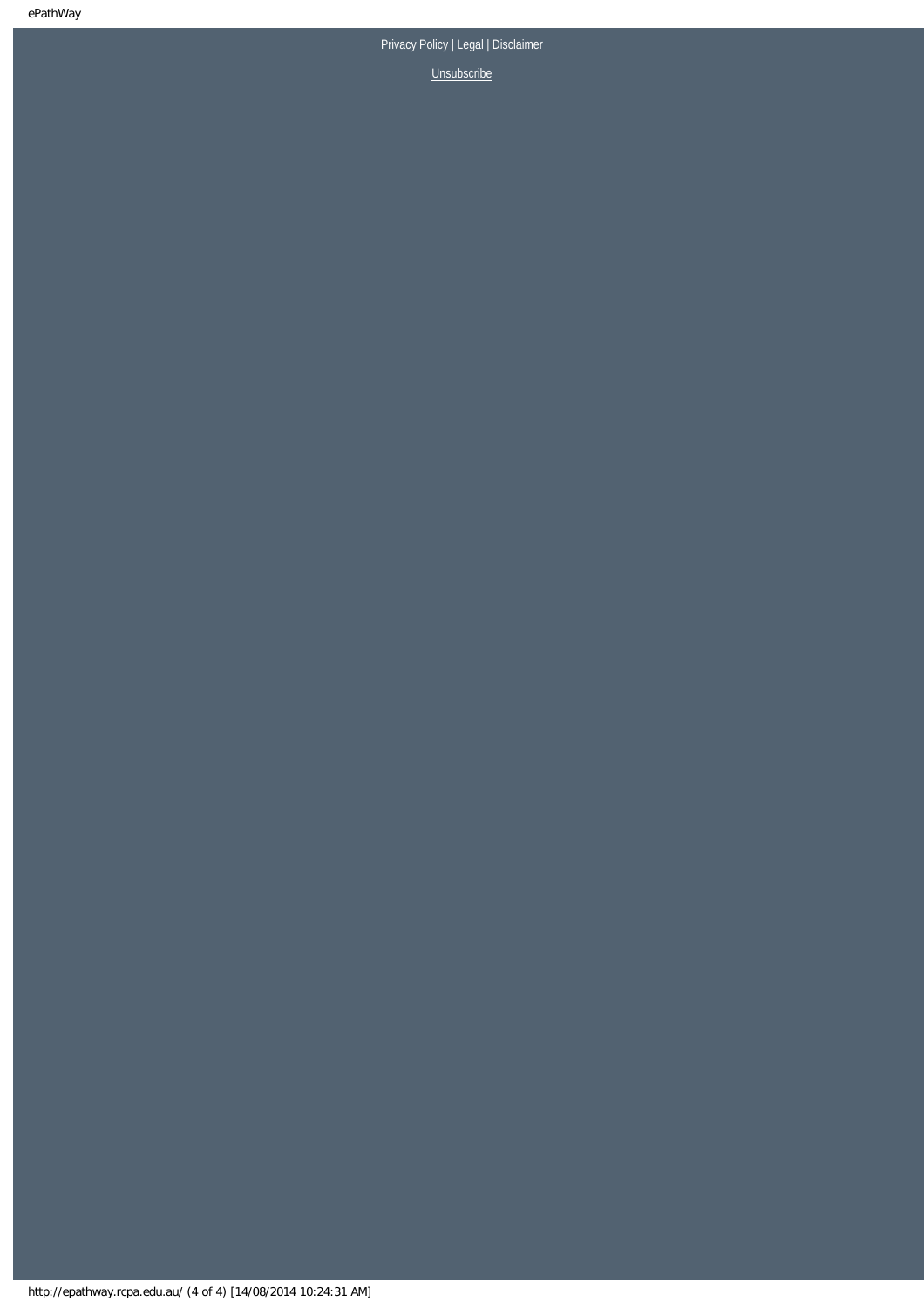### [Privacy Policy](http://www.rcpa.edu.au/Content-Library/Privacy.aspx) | [Legal](http://www.rcpa.edu.au/Legal.aspx) | Disclaimer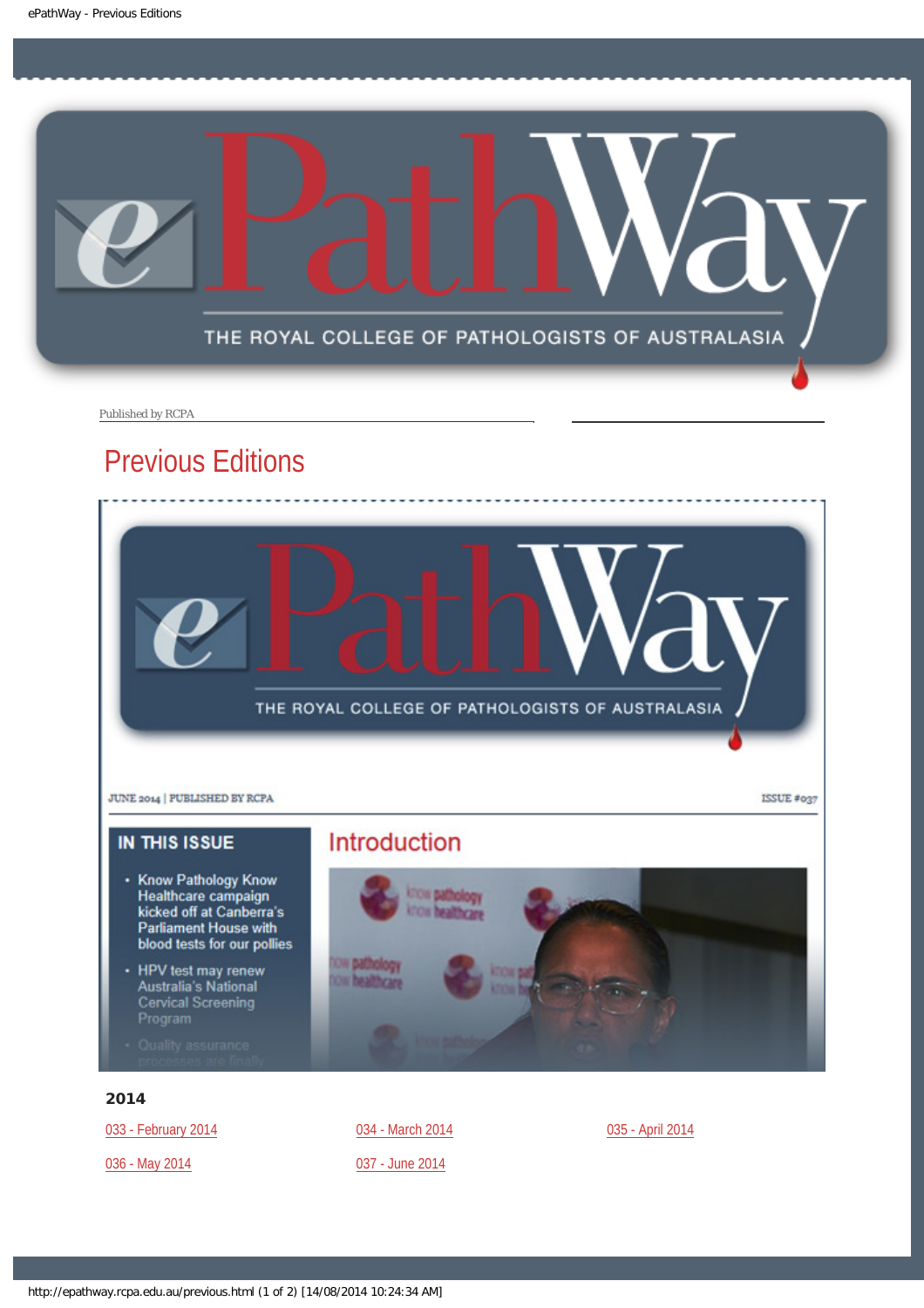<span id="page-4-0"></span>

Published by RCPA

### Previous Editions



• HPV test may renew<br>Australia's National<br>Cervical Screening<br>Program

#### 2014

[033 - February 2014](http://epathway.rcpa.edu.au/previous/033_0214.pdf)

[036 - May 2014](http://epathway.rcpa.edu.au/previous/036_0514.pdf)

[034 - March 2014](http://epathway.rcpa.edu.au/previous/034_0314.pdf) [037 - June 2014](http://epathway.rcpa.edu.au/previous/037_0614.pdf)

ow healthcare

[035 - April 2014](http://epathway.rcpa.edu.au/previous/035_0414.pdf)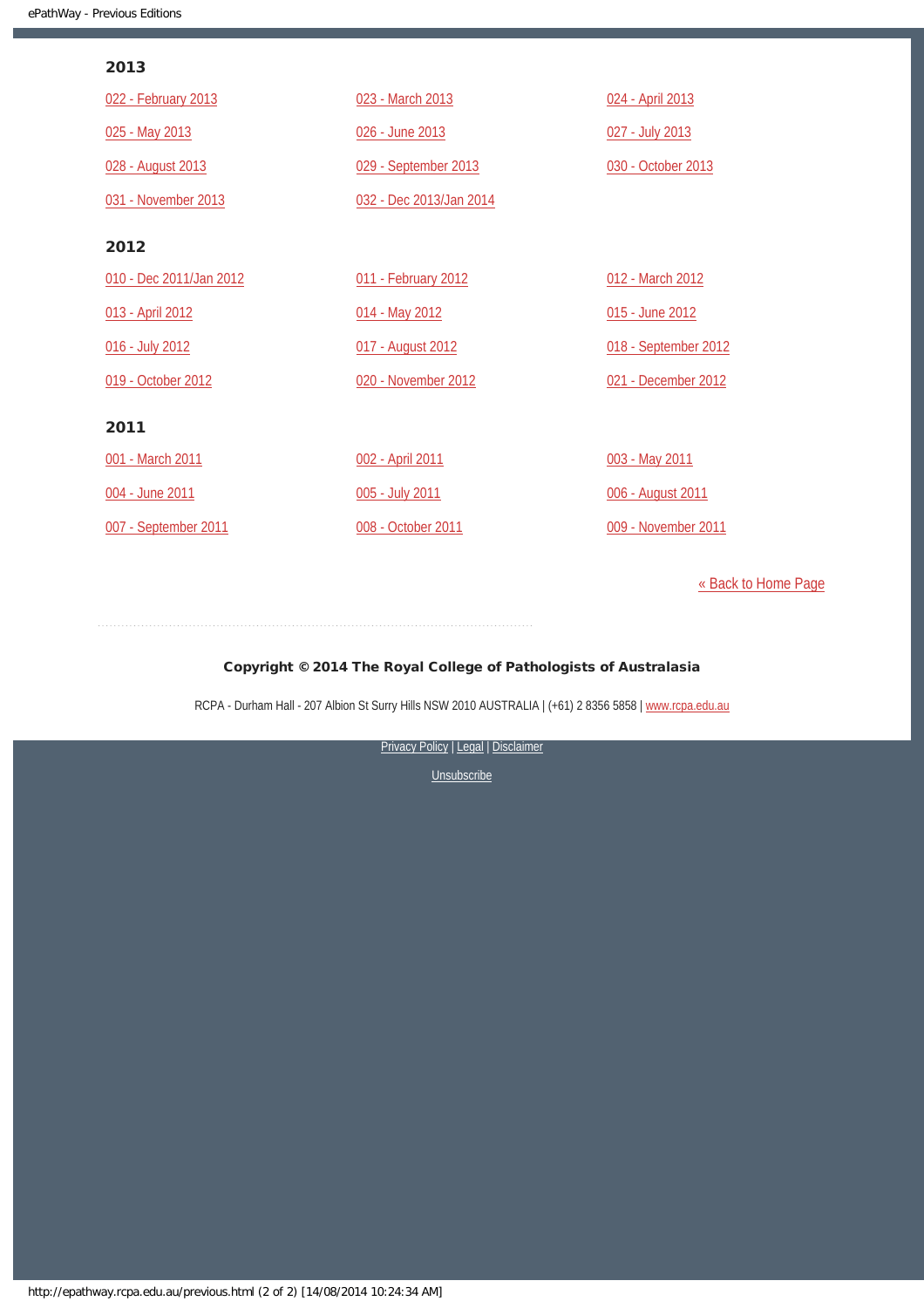### 2013

| 022 - February 2013     | 023 - March 2013        | 024 - April 2013     |
|-------------------------|-------------------------|----------------------|
| 025 - May 2013          | 026 - June 2013         | 027 - July 2013      |
| 028 - August 2013       | 029 - September 2013    | 030 - October 2013   |
| 031 - November 2013     | 032 - Dec 2013/Jan 2014 |                      |
| 2012                    |                         |                      |
| 010 - Dec 2011/Jan 2012 | 011 - February 2012     | 012 - March 2012     |
| 013 - April 2012        | 014 - May 2012          | 015 - June 2012      |
| 016 - July 2012         | 017 - August 2012       | 018 - September 2012 |
| 019 - October 2012      | 020 - November 2012     | 021 - December 2012  |
| 2011                    |                         |                      |
| 001 - March 2011        | 002 - April 2011        | 003 - May 2011       |
| 004 - June 2011         | 005 - July 2011         | 006 - August 2011    |
| 007 - September 2011    | 008 - October 2011      | 009 - November 2011  |

[« Back to Home Page](http://epathway.rcpa.edu.au/index.html)

#### Copyright © 2014 The Royal College of Pathologists of Australasia

RCPA - Durham Hall - 207 Albion St Surry Hills NSW 2010 AUSTRALIA | (+61) 2 8356 5858 | [www.rcpa.edu.au](http://www.rcpa.edu.au/)

[Privacy Policy](http://www.rcpa.edu.au/Content-Library/Privacy.aspx) | [Legal](http://www.rcpa.edu.au/Legal.aspx) | Disclaimer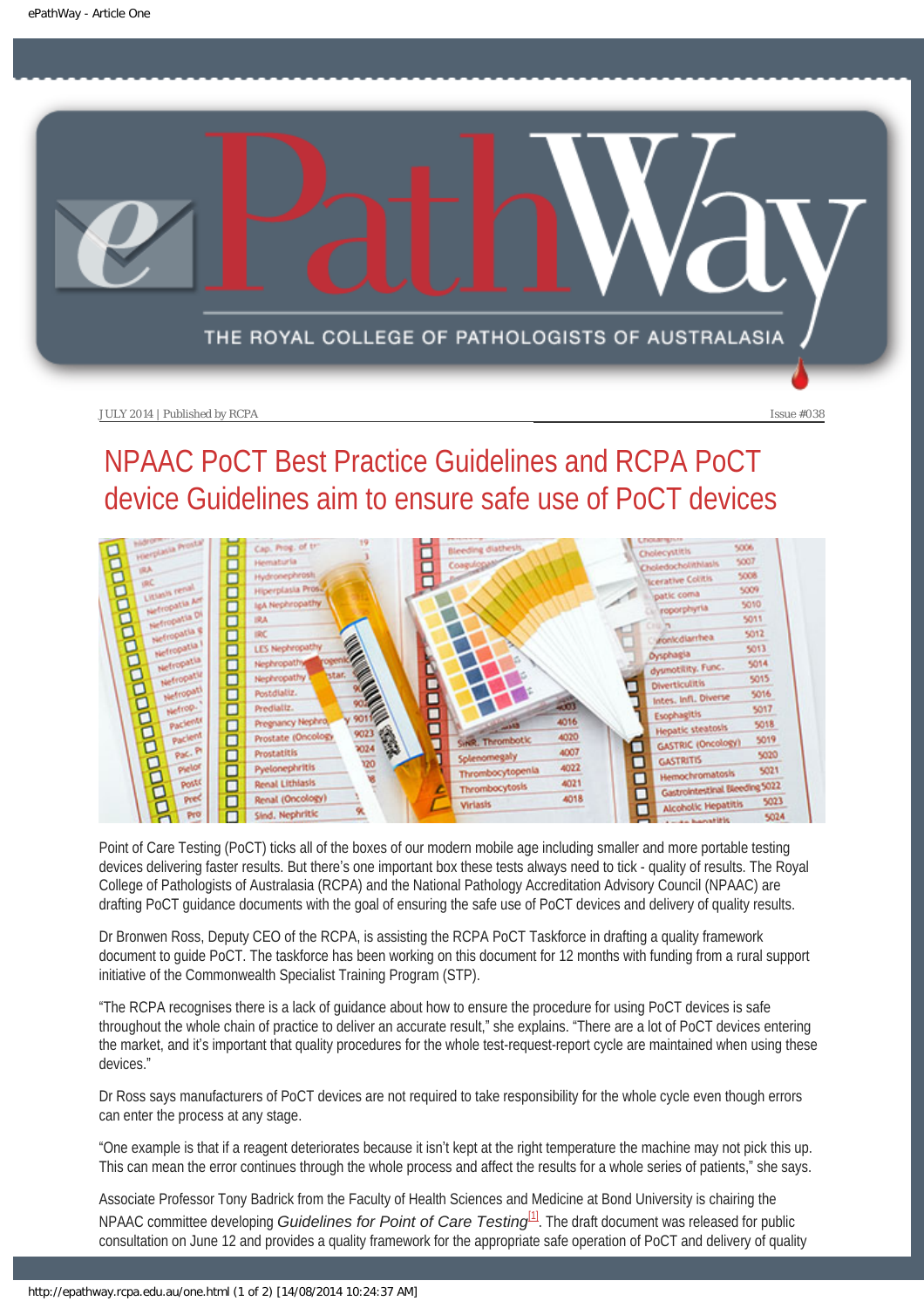<span id="page-6-0"></span>

### NPAAC PoCT Best Practice Guidelines and RCPA PoCT device Guidelines aim to ensure safe use of PoCT devices



Point of Care Testing (PoCT) ticks all of the boxes of our modern mobile age including smaller and more portable testing devices delivering faster results. But there's one important box these tests always need to tick - quality of results. The Royal College of Pathologists of Australasia (RCPA) and the National Pathology Accreditation Advisory Council (NPAAC) are drafting PoCT guidance documents with the goal of ensuring the safe use of PoCT devices and delivery of quality results.

Dr Bronwen Ross, Deputy CEO of the RCPA, is assisting the RCPA PoCT Taskforce in drafting a quality framework document to guide PoCT. The taskforce has been working on this document for 12 months with funding from a rural support initiative of the Commonwealth Specialist Training Program (STP).

"The RCPA recognises there is a lack of guidance about how to ensure the procedure for using PoCT devices is safe throughout the whole chain of practice to deliver an accurate result," she explains. "There are a lot of PoCT devices entering the market, and it's important that quality procedures for the whole test-request-report cycle are maintained when using these devices."

Dr Ross says manufacturers of PoCT devices are not required to take responsibility for the whole cycle even though errors can enter the process at any stage.

"One example is that if a reagent deteriorates because it isn't kept at the right temperature the machine may not pick this up. This can mean the error continues through the whole process and affect the results for a whole series of patients," she says.

<span id="page-6-1"></span>Associate Professor Tony Badrick from the Faculty of Health Sciences and Medicine at Bond University is chairing the NPAAC committee developing *Guidelines for Point of Care Testing*[\[1\].](#page-7-0) The draft document was released for public consultation on June 12 and provides a quality framework for the appropriate safe operation of PoCT and delivery of quality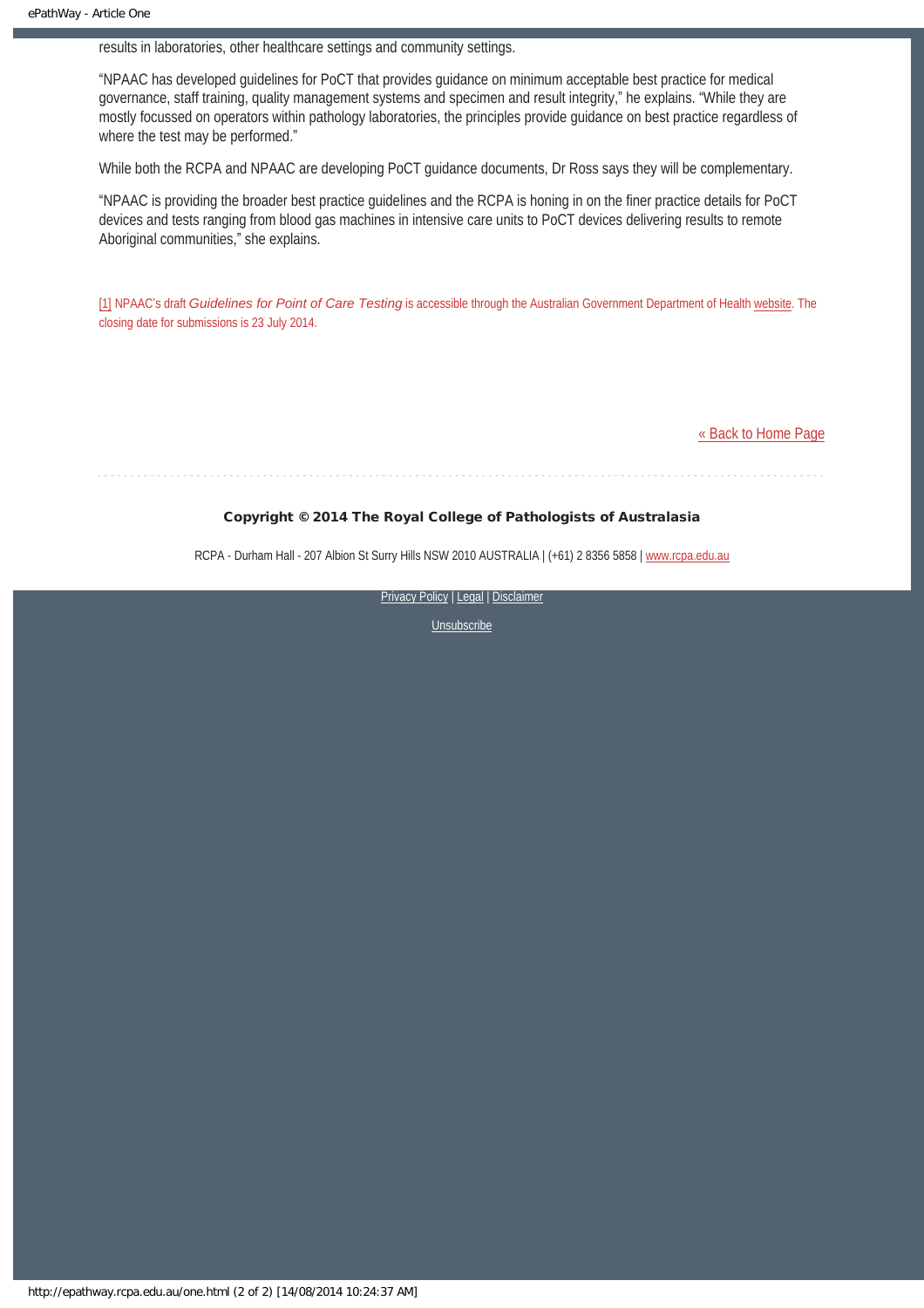results in laboratories, other healthcare settings and community settings.

"NPAAC has developed guidelines for PoCT that provides guidance on minimum acceptable best practice for medical governance, staff training, quality management systems and specimen and result integrity," he explains. "While they are mostly focussed on operators within pathology laboratories, the principles provide guidance on best practice regardless of where the test may be performed."

While both the RCPA and NPAAC are developing PoCT guidance documents, Dr Ross says they will be complementary.

"NPAAC is providing the broader best practice guidelines and the RCPA is honing in on the finer practice details for PoCT devices and tests ranging from blood gas machines in intensive care units to PoCT devices delivering results to remote Aboriginal communities," she explains.

<span id="page-7-0"></span>[\[1\]](#page-6-1) NPAAC's draft *Guidelines for Point of Care Testing* is accessible through the Australian Government Department of Health [website.](http://www.health.gov.au/internet/main/publishing.nsf/Content/health-npaac-publications-draft.htm) The closing date for submissions is 23 July 2014.

[« Back to Home Page](http://epathway.rcpa.edu.au/index.html)

#### Copyright © 2014 The Royal College of Pathologists of Australasia

RCPA - Durham Hall - 207 Albion St Surry Hills NSW 2010 AUSTRALIA | (+61) 2 8356 5858 | [www.rcpa.edu.au](http://www.rcpa.edu.au/)

[Privacy Policy](http://www.rcpa.edu.au/Content-Library/Privacy.aspx) | [Legal](http://www.rcpa.edu.au/Legal.aspx) | Disclaimer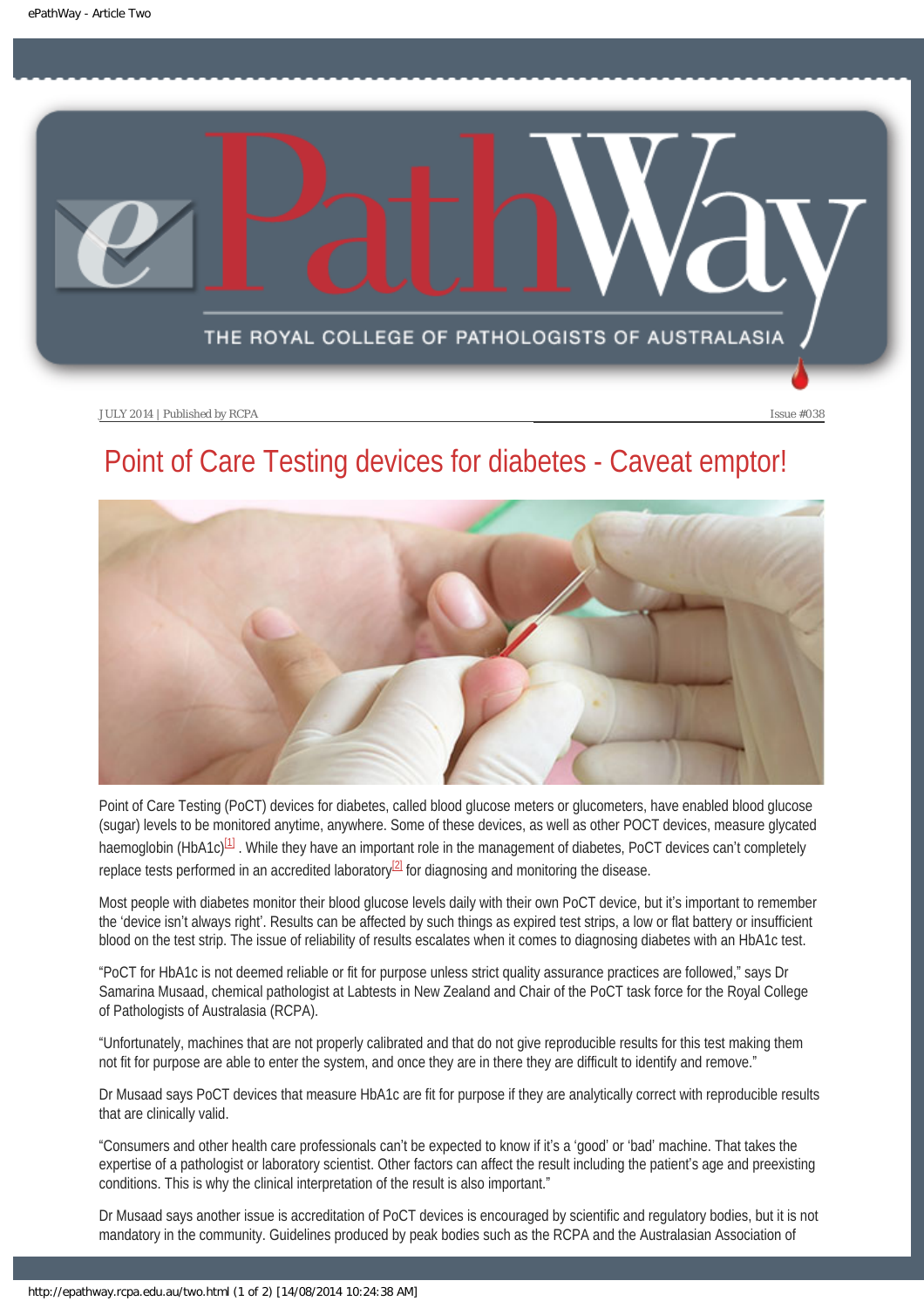<span id="page-8-0"></span>

# Point of Care Testing devices for diabetes - Caveat emptor!



Point of Care Testing (PoCT) devices for diabetes, called blood glucose meters or glucometers, have enabled blood glucose (sugar) levels to be monitored anytime, anywhere. Some of these devices, as well as other POCT devices, measure glycated haemoglobin (HbA1c)<sup>[\[1\]](#page-9-0)</sup>. While they have an important role in the management of diabetes, PoCT devices can't completely replace tests performed in an accredited laboratory<sup>[\[2\]](#page-9-1)</sup> for diagnosing and monitoring the disease.

<span id="page-8-2"></span><span id="page-8-1"></span>Most people with diabetes monitor their blood glucose levels daily with their own PoCT device, but it's important to remember the 'device isn't always right'. Results can be affected by such things as expired test strips, a low or flat battery or insufficient blood on the test strip. The issue of reliability of results escalates when it comes to diagnosing diabetes with an HbA1c test.

"PoCT for HbA1c is not deemed reliable or fit for purpose unless strict quality assurance practices are followed," says Dr Samarina Musaad, chemical pathologist at Labtests in New Zealand and Chair of the PoCT task force for the Royal College of Pathologists of Australasia (RCPA).

"Unfortunately, machines that are not properly calibrated and that do not give reproducible results for this test making them not fit for purpose are able to enter the system, and once they are in there they are difficult to identify and remove."

Dr Musaad says PoCT devices that measure HbA1c are fit for purpose if they are analytically correct with reproducible results that are clinically valid.

"Consumers and other health care professionals can't be expected to know if it's a 'good' or 'bad' machine. That takes the expertise of a pathologist or laboratory scientist. Other factors can affect the result including the patient's age and preexisting conditions. This is why the clinical interpretation of the result is also important."

Dr Musaad says another issue is accreditation of PoCT devices is encouraged by scientific and regulatory bodies, but it is not mandatory in the community. Guidelines produced by peak bodies such as the RCPA and the Australasian Association of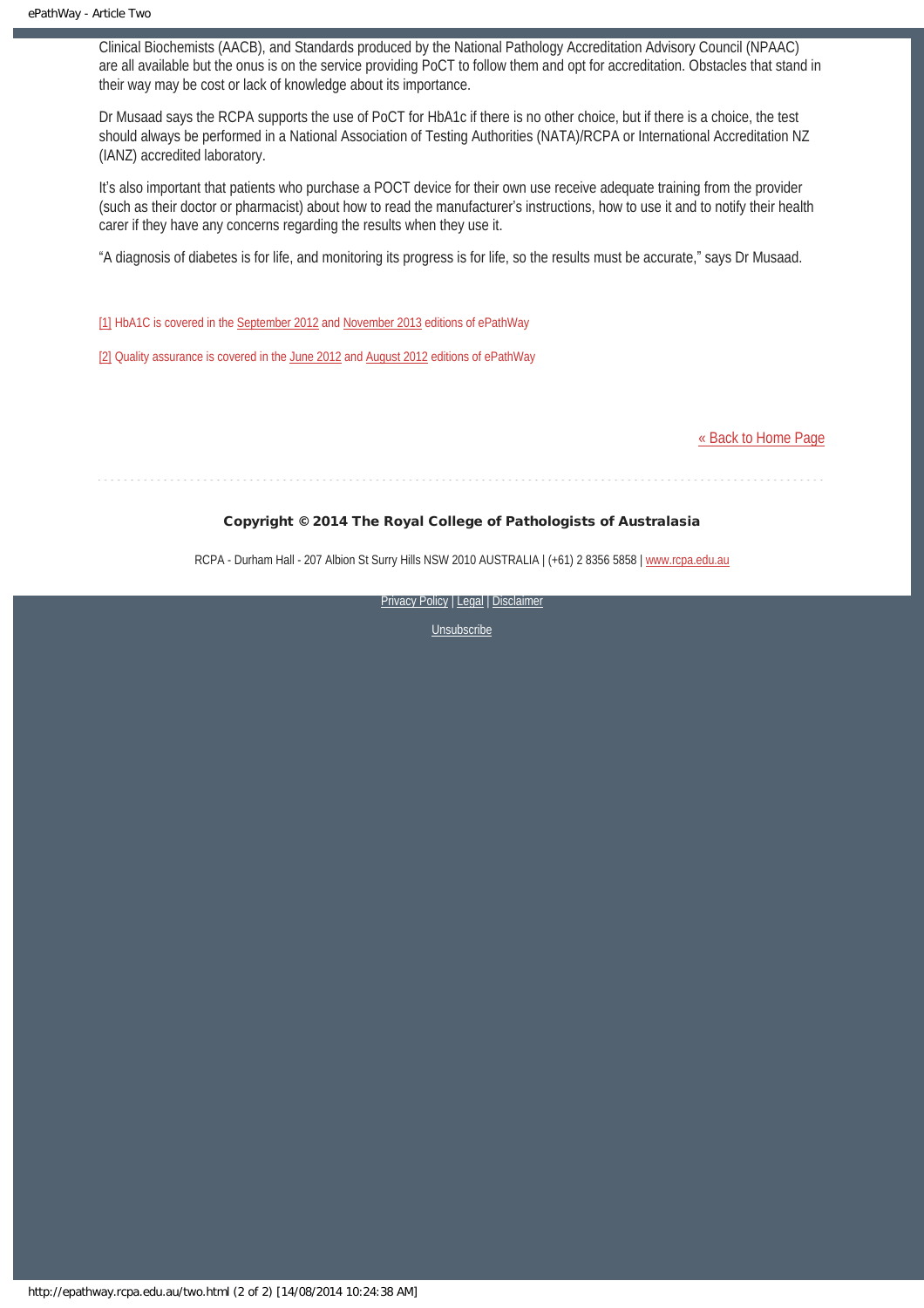Clinical Biochemists (AACB), and Standards produced by the National Pathology Accreditation Advisory Council (NPAAC) are all available but the onus is on the service providing PoCT to follow them and opt for accreditation. Obstacles that stand in their way may be cost or lack of knowledge about its importance.

Dr Musaad says the RCPA supports the use of PoCT for HbA1c if there is no other choice, but if there is a choice, the test should always be performed in a National Association of Testing Authorities (NATA)/RCPA or International Accreditation NZ (IANZ) accredited laboratory.

It's also important that patients who purchase a POCT device for their own use receive adequate training from the provider (such as their doctor or pharmacist) about how to read the manufacturer's instructions, how to use it and to notify their health carer if they have any concerns regarding the results when they use it.

"A diagnosis of diabetes is for life, and monitoring its progress is for life, so the results must be accurate," says Dr Musaad.

<span id="page-9-0"></span>[\[1\]](#page-8-1) HbA1C is covered in the [September 2012](http://epathway.rcpa.edu.au/previous/018_0912.pdf) and [November 2013](http://epathway.rcpa.edu.au/previous/031_1113.pdf) editions of ePathWay

<span id="page-9-1"></span>[\[2\]](#page-8-2) Quality assurance is covered in the [June 2012](http://epathway.rcpa.edu.au/previous/015_0612.pdf) and [August 2012](http://epathway.rcpa.edu.au/previous/017_0812.pdf) editions of ePathWay

[« Back to Home Page](http://epathway.rcpa.edu.au/index.html)

#### Copyright © 2014 The Royal College of Pathologists of Australasia

RCPA - Durham Hall - 207 Albion St Surry Hills NSW 2010 AUSTRALIA | (+61) 2 8356 5858 | [www.rcpa.edu.au](http://www.rcpa.edu.au/)

[Privacy Policy](http://www.rcpa.edu.au/Content-Library/Privacy.aspx) | [Legal](http://www.rcpa.edu.au/Legal.aspx) | Disclaimer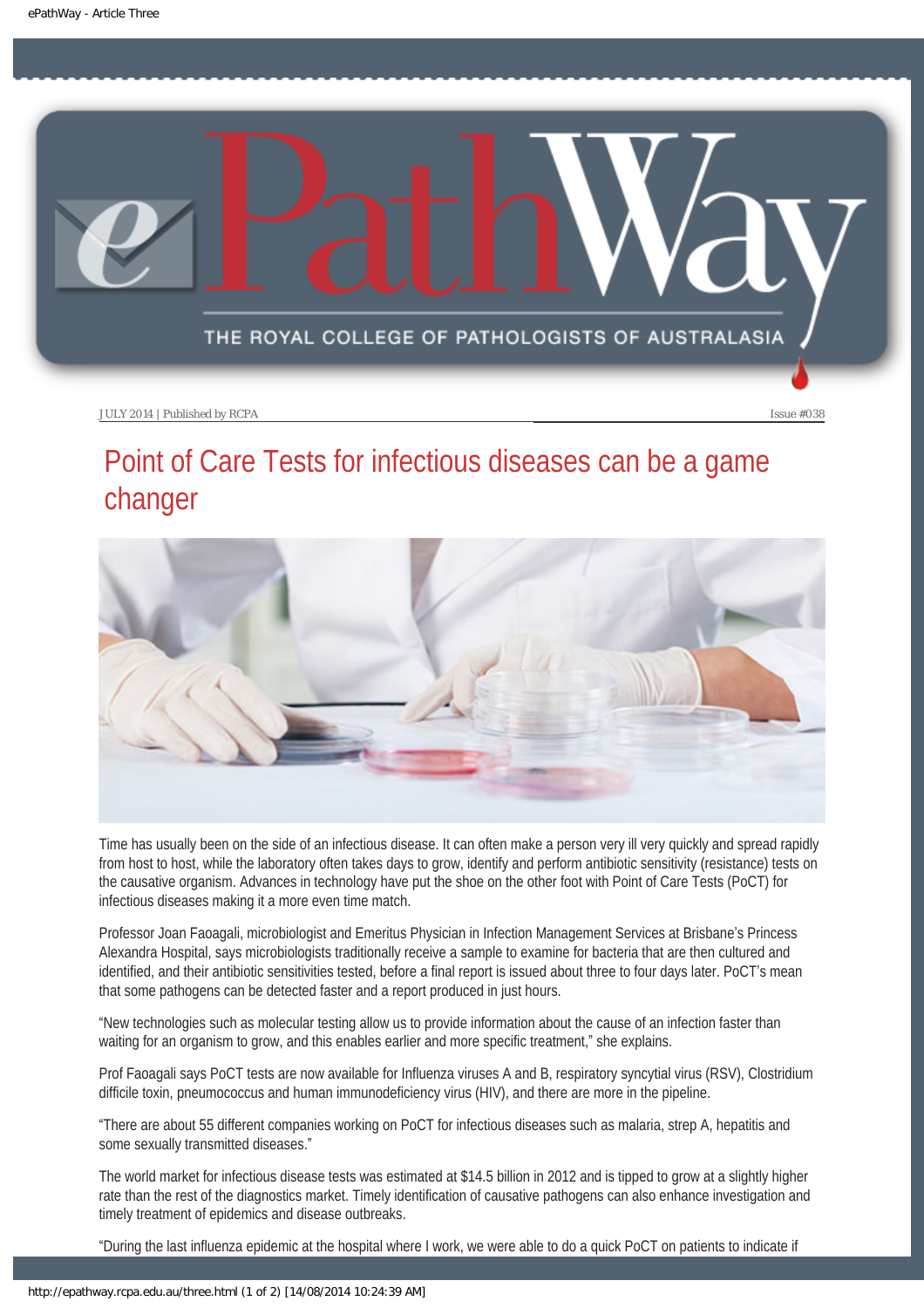<span id="page-10-0"></span>

## Point of Care Tests for infectious diseases can be a game changer



Time has usually been on the side of an infectious disease. It can often make a person very ill very quickly and spread rapidly from host to host, while the laboratory often takes days to grow, identify and perform antibiotic sensitivity (resistance) tests on the causative organism. Advances in technology have put the shoe on the other foot with Point of Care Tests (PoCT) for infectious diseases making it a more even time match.

Professor Joan Faoagali, microbiologist and Emeritus Physician in Infection Management Services at Brisbane's Princess Alexandra Hospital, says microbiologists traditionally receive a sample to examine for bacteria that are then cultured and identified, and their antibiotic sensitivities tested, before a final report is issued about three to four days later. PoCT's mean that some pathogens can be detected faster and a report produced in just hours.

"New technologies such as molecular testing allow us to provide information about the cause of an infection faster than waiting for an organism to grow, and this enables earlier and more specific treatment," she explains.

Prof Faoagali says PoCT tests are now available for Influenza viruses A and B, respiratory syncytial virus (RSV), Clostridium difficile toxin, pneumococcus and human immunodeficiency virus (HIV), and there are more in the pipeline.

"There are about 55 different companies working on PoCT for infectious diseases such as malaria, strep A, hepatitis and some sexually transmitted diseases."

The world market for infectious disease tests was estimated at \$14.5 billion in 2012 and is tipped to grow at a slightly higher rate than the rest of the diagnostics market. Timely identification of causative pathogens can also enhance investigation and timely treatment of epidemics and disease outbreaks.

"During the last influenza epidemic at the hospital where I work, we were able to do a quick PoCT on patients to indicate if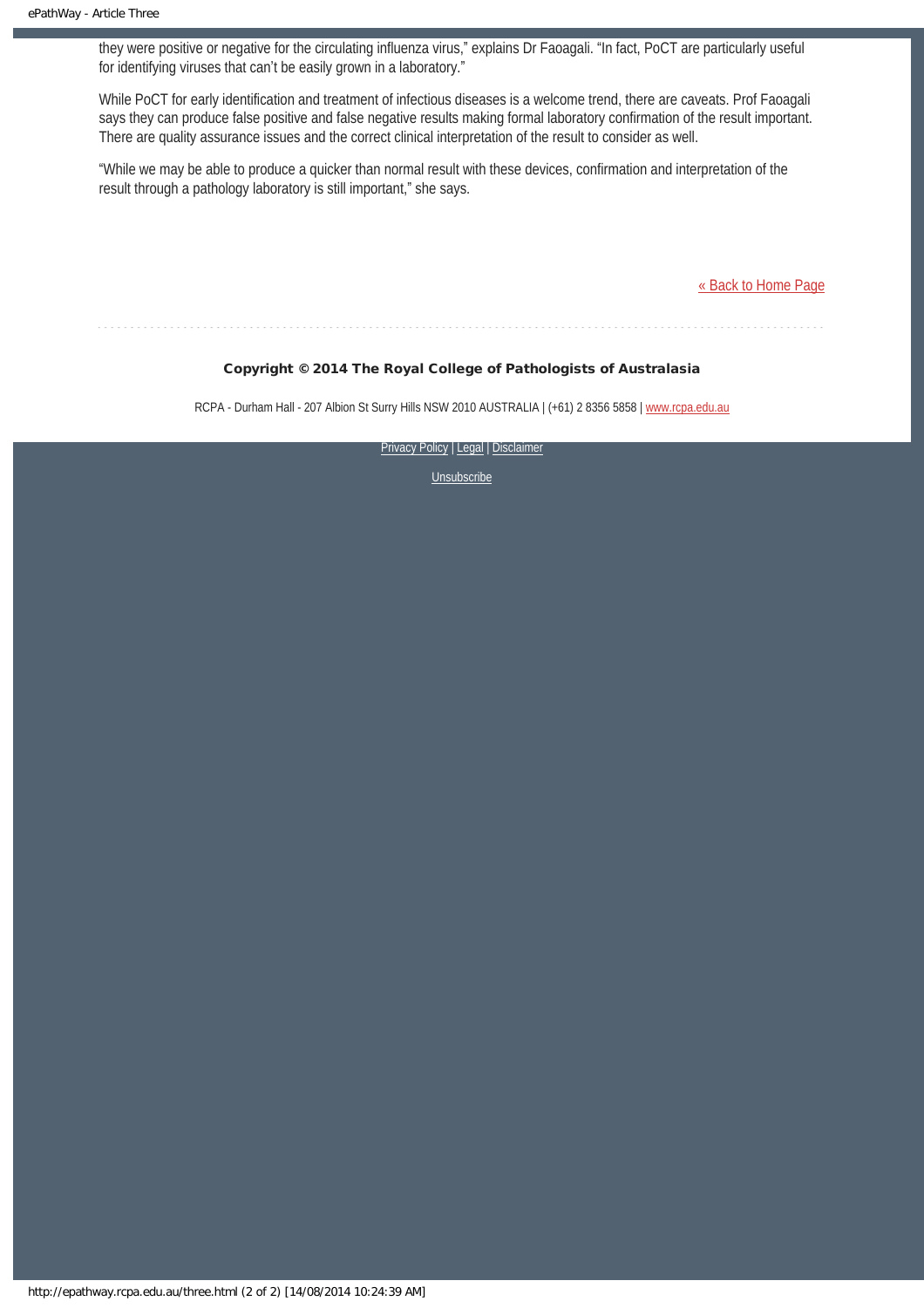they were positive or negative for the circulating influenza virus," explains Dr Faoagali. "In fact, PoCT are particularly useful for identifying viruses that can't be easily grown in a laboratory."

While PoCT for early identification and treatment of infectious diseases is a welcome trend, there are caveats. Prof Faoagali says they can produce false positive and false negative results making formal laboratory confirmation of the result important. There are quality assurance issues and the correct clinical interpretation of the result to consider as well.

"While we may be able to produce a quicker than normal result with these devices, confirmation and interpretation of the result through a pathology laboratory is still important," she says.

[« Back to Home Page](http://epathway.rcpa.edu.au/index.html)

#### Copyright © 2014 The Royal College of Pathologists of Australasia

RCPA - Durham Hall - 207 Albion St Surry Hills NSW 2010 AUSTRALIA | (+61) 2 8356 5858 | [www.rcpa.edu.au](http://www.rcpa.edu.au/)

[Privacy Policy](http://www.rcpa.edu.au/Content-Library/Privacy.aspx) | [Legal](http://www.rcpa.edu.au/Legal.aspx) | Disclaimer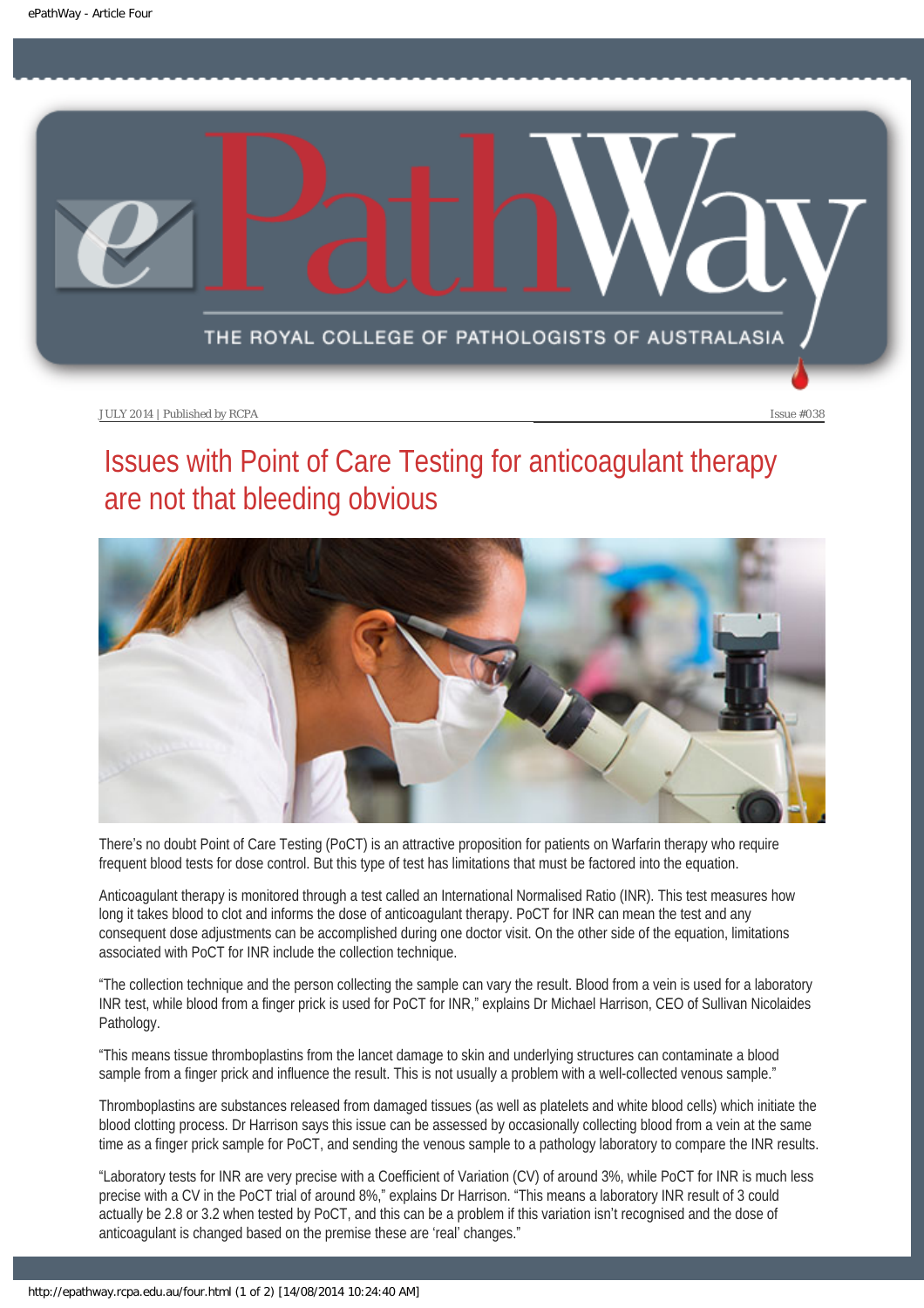<span id="page-12-0"></span>

# Issues with Point of Care Testing for anticoagulant therapy are not that bleeding obvious



There's no doubt Point of Care Testing (PoCT) is an attractive proposition for patients on Warfarin therapy who require frequent blood tests for dose control. But this type of test has limitations that must be factored into the equation.

Anticoagulant therapy is monitored through a test called an International Normalised Ratio (INR). This test measures how long it takes blood to clot and informs the dose of anticoagulant therapy. PoCT for INR can mean the test and any consequent dose adjustments can be accomplished during one doctor visit. On the other side of the equation, limitations associated with PoCT for INR include the collection technique.

"The collection technique and the person collecting the sample can vary the result. Blood from a vein is used for a laboratory INR test, while blood from a finger prick is used for PoCT for INR," explains Dr Michael Harrison, CEO of Sullivan Nicolaides Pathology.

"This means tissue thromboplastins from the lancet damage to skin and underlying structures can contaminate a blood sample from a finger prick and influence the result. This is not usually a problem with a well-collected venous sample."

Thromboplastins are substances released from damaged tissues (as well as platelets and white blood cells) which initiate the blood clotting process. Dr Harrison says this issue can be assessed by occasionally collecting blood from a vein at the same time as a finger prick sample for PoCT, and sending the venous sample to a pathology laboratory to compare the INR results.

"Laboratory tests for INR are very precise with a Coefficient of Variation (CV) of around 3%, while PoCT for INR is much less precise with a CV in the PoCT trial of around 8%," explains Dr Harrison. "This means a laboratory INR result of 3 could actually be 2.8 or 3.2 when tested by PoCT, and this can be a problem if this variation isn't recognised and the dose of anticoagulant is changed based on the premise these are 'real' changes."